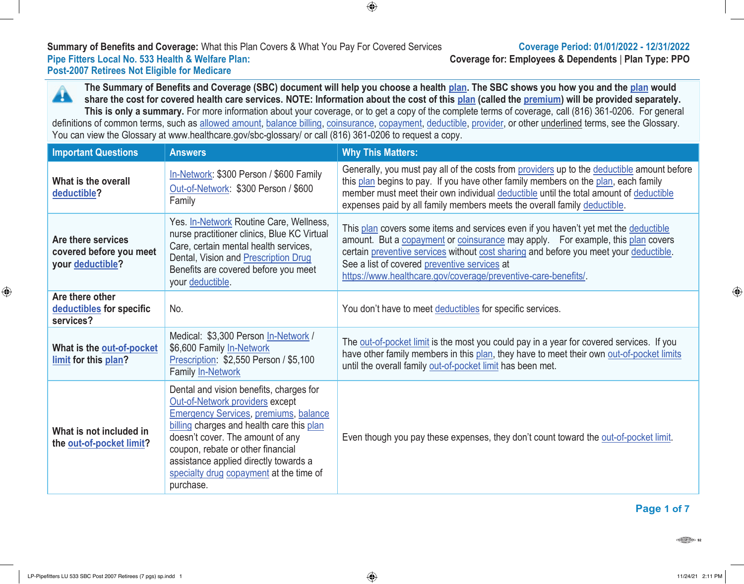# **Summary of Benefits and Coverage:** What this Plan Covers & What You Pay For Covered Services **Coverage Period: 01/01/2022 - 12/31/2022 Post-2007 Retirees Not Eligible for Medicare**

**Coverage for: Employees & Dependents | Plan Type: PPO** 

**The Summary of Benefits and Coverage (SBC) document will help you choose a health plan. The SBC shows you how you and the plan would** A **share the cost for covered health care services. NOTE: Information about the cost of this plan (called the premium) will be provided separately. This is only a summary.** For more information about your coverage, or to get a copy of the complete terms of coverage, call (816) 361-0206. For general definitions of common terms, such as allowed amount, balance billing, coinsurance, copayment, deductible, provider, or other underlined terms, see the Glossary. You can view the Glossary at www.healthcare.gov/sbc-glossary/ or call (816) 361-0206 to request a copy.

 $\bigoplus$ 

| <b>Important Questions</b>                                        | <b>Answers</b>                                                                                                                                                                                                                                                                                                                                    | <b>Why This Matters:</b>                                                                                                                                                                                                                                                                                                                                                          |
|-------------------------------------------------------------------|---------------------------------------------------------------------------------------------------------------------------------------------------------------------------------------------------------------------------------------------------------------------------------------------------------------------------------------------------|-----------------------------------------------------------------------------------------------------------------------------------------------------------------------------------------------------------------------------------------------------------------------------------------------------------------------------------------------------------------------------------|
| What is the overall<br>deductible?                                | In-Network: \$300 Person / \$600 Family<br>Out-of-Network: \$300 Person / \$600<br>Family                                                                                                                                                                                                                                                         | Generally, you must pay all of the costs from providers up to the deductible amount before<br>this plan begins to pay. If you have other family members on the plan, each family<br>member must meet their own individual deductible until the total amount of deductible<br>expenses paid by all family members meets the overall family deductible.                             |
| Are there services<br>covered before you meet<br>your deductible? | Yes. In-Network Routine Care, Wellness,<br>nurse practitioner clinics, Blue KC Virtual<br>Care, certain mental health services,<br>Dental, Vision and Prescription Drug<br>Benefits are covered before you meet<br>your deductible.                                                                                                               | This plan covers some items and services even if you haven't yet met the deductible<br>amount. But a copayment or coinsurance may apply. For example, this plan covers<br>certain preventive services without cost sharing and before you meet your deductible.<br>See a list of covered preventive services at<br>https://www.healthcare.gov/coverage/preventive-care-benefits/. |
| Are there other<br>deductibles for specific<br>services?          | No.                                                                                                                                                                                                                                                                                                                                               | You don't have to meet deductibles for specific services.                                                                                                                                                                                                                                                                                                                         |
| What is the out-of-pocket<br>limit for this plan?                 | Medical: \$3,300 Person In-Network /<br>\$6,600 Family In-Network<br>Prescription: \$2,550 Person / \$5,100<br>Family In-Network                                                                                                                                                                                                                  | The out-of-pocket limit is the most you could pay in a year for covered services. If you<br>have other family members in this plan, they have to meet their own out-of-pocket limits<br>until the overall family out-of-pocket limit has been met.                                                                                                                                |
| What is not included in<br>the out-of-pocket limit?               | Dental and vision benefits, charges for<br>Out-of-Network providers except<br><b>Emergency Services, premiums, balance</b><br>billing charges and health care this plan<br>doesn't cover. The amount of any<br>coupon, rebate or other financial<br>assistance applied directly towards a<br>specialty drug copayment at the time of<br>purchase. | Even though you pay these expenses, they don't count toward the out-of-pocket limit.                                                                                                                                                                                                                                                                                              |

# **Page 1 of 7**

 $\bigoplus$ 

⊕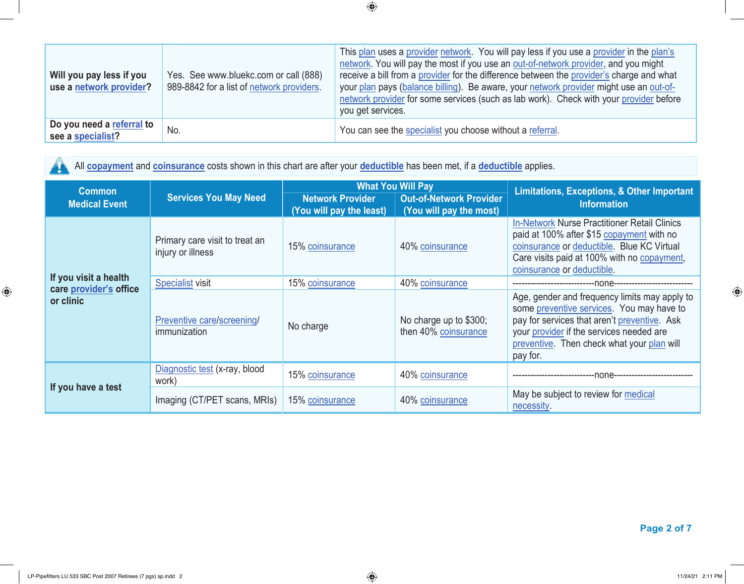| Will you pay less if you<br>use a network provider? | Yes. See www.bluekc.com or call (888)<br>989-8842 for a list of network providers. | This plan uses a provider network. You will pay less if you use a provider in the plan's<br>network. You will pay the most if you use an out-of-network provider, and you might<br>receive a bill from a provider for the difference between the provider's charge and what<br>your plan pays (balance billing). Be aware, your network provider might use an out-of-<br>network provider for some services (such as lab work). Check with your provider before<br>you get services. |
|-----------------------------------------------------|------------------------------------------------------------------------------------|--------------------------------------------------------------------------------------------------------------------------------------------------------------------------------------------------------------------------------------------------------------------------------------------------------------------------------------------------------------------------------------------------------------------------------------------------------------------------------------|
| Do you need a referral to<br>see a specialist?      | No.                                                                                | You can see the specialist you choose without a referral.                                                                                                                                                                                                                                                                                                                                                                                                                            |

All **copayment** and **coinsurance** costs shown in this chart are after your **deductible** has been met, if a **deductible** applies.  $\mathbf{A}$ 

| <b>Common</b>                       |                                                                                                                                                  | <b>What You Will Pay</b> |                                                | <b>Limitations, Exceptions, &amp; Other Important</b>                                                                                                                                                                                            |  |
|-------------------------------------|--------------------------------------------------------------------------------------------------------------------------------------------------|--------------------------|------------------------------------------------|--------------------------------------------------------------------------------------------------------------------------------------------------------------------------------------------------------------------------------------------------|--|
| <b>Medical Event</b>                | <b>Services You May Need</b><br><b>Network Provider</b><br><b>Out-of-Network Provider</b><br>(You will pay the least)<br>(You will pay the most) |                          | <b>Information</b>                             |                                                                                                                                                                                                                                                  |  |
|                                     | Primary care visit to treat an<br>injury or illness                                                                                              | 15% coinsurance          | 40% coinsurance                                | <b>In-Network Nurse Practitioner Retail Clinics</b><br>paid at 100% after \$15 copayment with no<br>coinsurance or deductible. Blue KC Virtual<br>Care visits paid at 100% with no copayment,<br>coinsurance or deductible.                      |  |
| If you visit a health               | <b>Specialist visit</b>                                                                                                                          | 15% coinsurance          | 40% coinsurance                                |                                                                                                                                                                                                                                                  |  |
| care provider's office<br>or clinic | Preventive care/screening/<br>immunization                                                                                                       | No charge                | No charge up to \$300;<br>then 40% coinsurance | Age, gender and frequency limits may apply to<br>some preventive services. You may have to<br>pay for services that aren't preventive. Ask<br>your provider if the services needed are<br>preventive. Then check what your plan will<br>pay for. |  |
| If you have a test                  | Diagnostic test (x-ray, blood<br>work)                                                                                                           | 15% coinsurance          | 40% coinsurance                                | -none--------------                                                                                                                                                                                                                              |  |
|                                     | Imaging (CT/PET scans, MRIs)                                                                                                                     | 15% coinsurance          | 40% coinsurance                                | May be subject to review for medical<br>necessity.                                                                                                                                                                                               |  |

 **Page 2 of 7**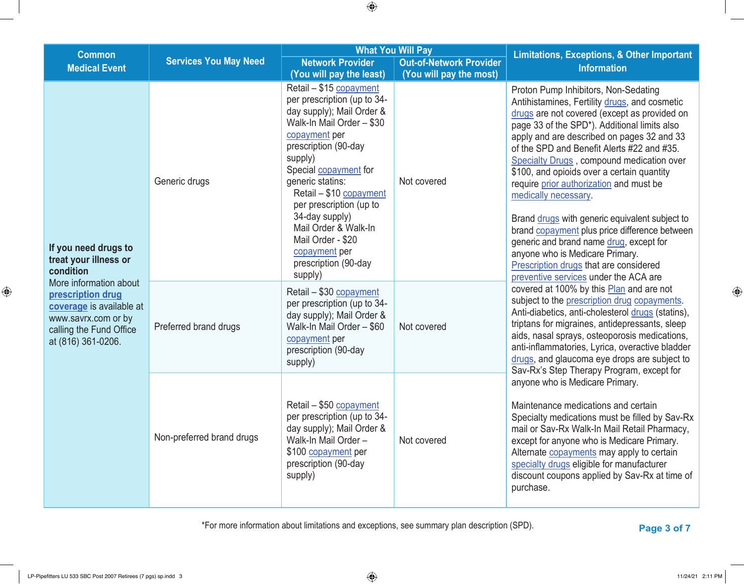| <b>Common</b>                                                                                                                                   |                                      | <b>What You Will Pay</b>                                                                                                                                                                                                                                                                                                                                                                                               |                                        | <b>Limitations, Exceptions, &amp; Other Important</b>                                                                                                                                                                                                                                                                                                                                                                                                                                                                                                                                                                                                                                                               |
|-------------------------------------------------------------------------------------------------------------------------------------------------|--------------------------------------|------------------------------------------------------------------------------------------------------------------------------------------------------------------------------------------------------------------------------------------------------------------------------------------------------------------------------------------------------------------------------------------------------------------------|----------------------------------------|---------------------------------------------------------------------------------------------------------------------------------------------------------------------------------------------------------------------------------------------------------------------------------------------------------------------------------------------------------------------------------------------------------------------------------------------------------------------------------------------------------------------------------------------------------------------------------------------------------------------------------------------------------------------------------------------------------------------|
| <b>Medical Event</b>                                                                                                                            | <b>Services You May Need</b>         | <b>Network Provider</b>                                                                                                                                                                                                                                                                                                                                                                                                | <b>Out-of-Network Provider</b>         | <b>Information</b>                                                                                                                                                                                                                                                                                                                                                                                                                                                                                                                                                                                                                                                                                                  |
| If you need drugs to<br>treat your illness or<br>condition                                                                                      | Generic drugs                        | (You will pay the least)<br>Retail - \$15 copayment<br>per prescription (up to 34-<br>day supply); Mail Order &<br>Walk-In Mail Order - \$30<br>copayment per<br>prescription (90-day<br>supply)<br>Special copayment for<br>generic statins:<br>Retail - \$10 copayment<br>per prescription (up to<br>34-day supply)<br>Mail Order & Walk-In<br>Mail Order - \$20<br>copayment per<br>prescription (90-day<br>supply) | (You will pay the most)<br>Not covered | Proton Pump Inhibitors, Non-Sedating<br>Antihistamines, Fertility drugs, and cosmetic<br>drugs are not covered (except as provided on<br>page 33 of the SPD*). Additional limits also<br>apply and are described on pages 32 and 33<br>of the SPD and Benefit Alerts #22 and #35.<br>Specialty Drugs, compound medication over<br>\$100, and opioids over a certain quantity<br>require prior authorization and must be<br>medically necessary.<br>Brand drugs with generic equivalent subject to<br>brand copayment plus price difference between<br>generic and brand name drug, except for<br>anyone who is Medicare Primary.<br>Prescription drugs that are considered<br>preventive services under the ACA are |
| More information about<br>prescription drug<br>coverage is available at<br>www.savrx.com or by<br>calling the Fund Office<br>at (816) 361-0206. | Preferred brand drugs                | Retail - \$30 copayment<br>per prescription (up to 34-<br>day supply); Mail Order &<br>Walk-In Mail Order - \$60<br>copayment per<br>prescription (90-day<br>supply)                                                                                                                                                                                                                                                   | Not covered                            | covered at 100% by this Plan and are not<br>subject to the prescription drug copayments.<br>Anti-diabetics, anti-cholesterol drugs (statins),<br>triptans for migraines, antidepressants, sleep<br>aids, nasal sprays, osteoporosis medications,<br>anti-inflammatories, Lyrica, overactive bladder<br>drugs, and glaucoma eye drops are subject to                                                                                                                                                                                                                                                                                                                                                                 |
|                                                                                                                                                 | Non-preferred brand drugs<br>supply) | Retail - \$50 copayment<br>per prescription (up to 34-<br>day supply); Mail Order &<br>Walk-In Mail Order-<br>\$100 copayment per<br>prescription (90-day                                                                                                                                                                                                                                                              | Not covered                            | Sav-Rx's Step Therapy Program, except for<br>anyone who is Medicare Primary.<br>Maintenance medications and certain<br>Specialty medications must be filled by Sav-Rx<br>mail or Sav-Rx Walk-In Mail Retail Pharmacy,<br>except for anyone who is Medicare Primary.<br>Alternate copayments may apply to certain<br>specialty drugs eligible for manufacturer<br>discount coupons applied by Sav-Rx at time of<br>purchase.                                                                                                                                                                                                                                                                                         |

\*For more information about limitations and exceptions, see summary plan description (SPD). **Page 3 of 7**

 $\bigoplus$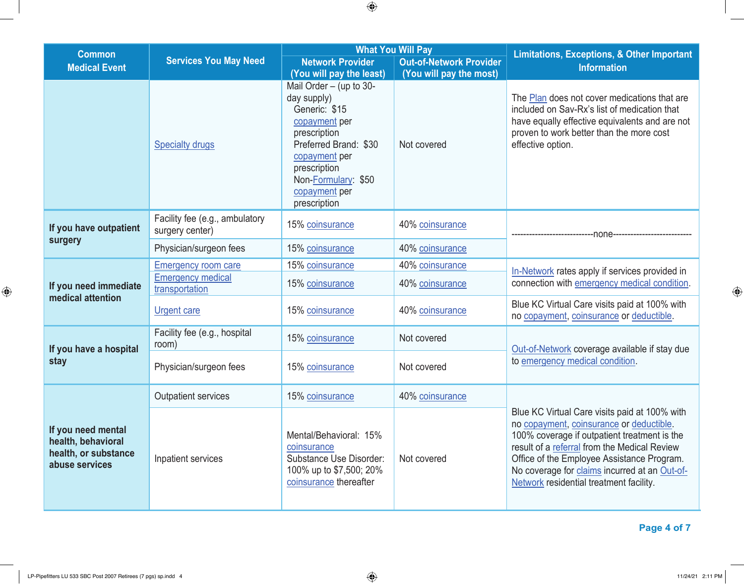| <b>Common</b>                                                                      |                                                   | <b>What You Will Pay</b>                                                                                                                                                                                                                 |                                        |                                                                                                                                                                                                                                                                                                                                     |  |
|------------------------------------------------------------------------------------|---------------------------------------------------|------------------------------------------------------------------------------------------------------------------------------------------------------------------------------------------------------------------------------------------|----------------------------------------|-------------------------------------------------------------------------------------------------------------------------------------------------------------------------------------------------------------------------------------------------------------------------------------------------------------------------------------|--|
| <b>Medical Event</b>                                                               | <b>Services You May Need</b>                      | <b>Network Provider</b>                                                                                                                                                                                                                  | <b>Out-of-Network Provider</b>         | <b>Limitations, Exceptions, &amp; Other Important</b><br><b>Information</b>                                                                                                                                                                                                                                                         |  |
|                                                                                    | <b>Specialty drugs</b>                            | (You will pay the least)<br>Mail Order $-$ (up to 30-<br>day supply)<br>Generic: \$15<br>copayment per<br>prescription<br>Preferred Brand: \$30<br>copayment per<br>prescription<br>Non-Formulary: \$50<br>copayment per<br>prescription | (You will pay the most)<br>Not covered | The Plan does not cover medications that are<br>included on Sav-Rx's list of medication that<br>have equally effective equivalents and are not<br>proven to work better than the more cost<br>effective option.                                                                                                                     |  |
| If you have outpatient                                                             | Facility fee (e.g., ambulatory<br>surgery center) | 15% coinsurance                                                                                                                                                                                                                          | 40% coinsurance                        | --none-                                                                                                                                                                                                                                                                                                                             |  |
| surgery                                                                            | Physician/surgeon fees                            | 15% coinsurance                                                                                                                                                                                                                          | 40% coinsurance                        |                                                                                                                                                                                                                                                                                                                                     |  |
| If you need immediate                                                              | <b>Emergency room care</b>                        | 15% coinsurance                                                                                                                                                                                                                          | 40% coinsurance                        | In-Network rates apply if services provided in                                                                                                                                                                                                                                                                                      |  |
|                                                                                    | <b>Emergency medical</b><br>transportation        | 15% coinsurance                                                                                                                                                                                                                          | 40% coinsurance                        | connection with emergency medical condition.                                                                                                                                                                                                                                                                                        |  |
| medical attention                                                                  | <b>Urgent care</b>                                | 15% coinsurance                                                                                                                                                                                                                          | 40% coinsurance                        | Blue KC Virtual Care visits paid at 100% with<br>no copayment, coinsurance or deductible.                                                                                                                                                                                                                                           |  |
| If you have a hospital                                                             | Facility fee (e.g., hospital<br>room)             | 15% coinsurance                                                                                                                                                                                                                          | Not covered                            | Out-of-Network coverage available if stay due                                                                                                                                                                                                                                                                                       |  |
| stay                                                                               | Physician/surgeon fees                            | 15% coinsurance                                                                                                                                                                                                                          | Not covered                            | to emergency medical condition.                                                                                                                                                                                                                                                                                                     |  |
|                                                                                    | <b>Outpatient services</b>                        | 15% coinsurance                                                                                                                                                                                                                          | 40% coinsurance                        |                                                                                                                                                                                                                                                                                                                                     |  |
| If you need mental<br>health, behavioral<br>health, or substance<br>abuse services | Inpatient services                                | Mental/Behavioral: 15%<br>coinsurance<br>Substance Use Disorder:<br>100% up to \$7,500; 20%<br>coinsurance thereafter                                                                                                                    | Not covered                            | Blue KC Virtual Care visits paid at 100% with<br>no copayment, coinsurance or deductible.<br>100% coverage if outpatient treatment is the<br>result of a referral from the Medical Review<br>Office of the Employee Assistance Program.<br>No coverage for claims incurred at an Out-of-<br>Network residential treatment facility. |  |

 **Page 4 of 7**

 $\bigoplus$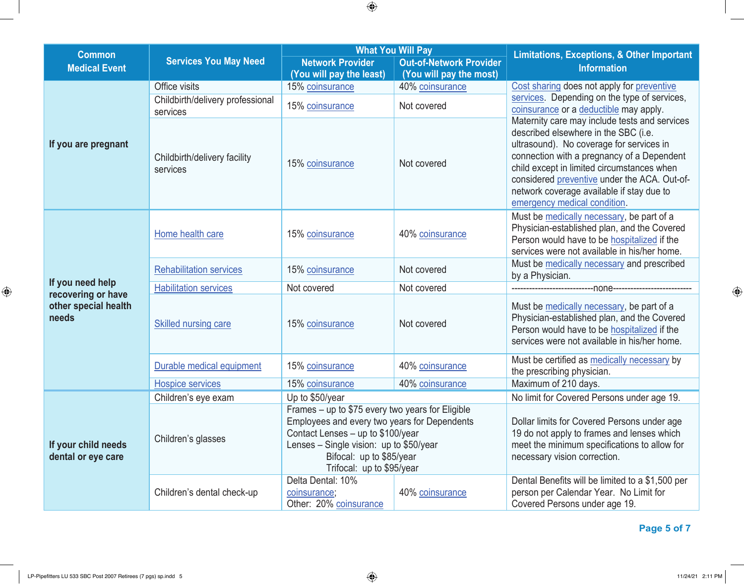|                                                     |                                              | <b>What You Will Pay</b>                                                                                                                                                                                                                    |                                                           |                                                                                                                                                                                                                                                                                                                                                            |  |
|-----------------------------------------------------|----------------------------------------------|---------------------------------------------------------------------------------------------------------------------------------------------------------------------------------------------------------------------------------------------|-----------------------------------------------------------|------------------------------------------------------------------------------------------------------------------------------------------------------------------------------------------------------------------------------------------------------------------------------------------------------------------------------------------------------------|--|
| <b>Common</b><br><b>Medical Event</b>               | <b>Services You May Need</b>                 | <b>Network Provider</b><br>(You will pay the least)                                                                                                                                                                                         | <b>Out-of-Network Provider</b><br>(You will pay the most) | <b>Limitations, Exceptions, &amp; Other Important</b><br><b>Information</b>                                                                                                                                                                                                                                                                                |  |
|                                                     | Office visits                                | 15% coinsurance                                                                                                                                                                                                                             | 40% coinsurance                                           | Cost sharing does not apply for preventive                                                                                                                                                                                                                                                                                                                 |  |
|                                                     | Childbirth/delivery professional<br>services | 15% coinsurance                                                                                                                                                                                                                             | Not covered                                               | services. Depending on the type of services,<br>coinsurance or a deductible may apply.                                                                                                                                                                                                                                                                     |  |
| If you are pregnant                                 | Childbirth/delivery facility<br>services     | Not covered<br>15% coinsurance                                                                                                                                                                                                              |                                                           | Maternity care may include tests and services<br>described elsewhere in the SBC (i.e.<br>ultrasound). No coverage for services in<br>connection with a pregnancy of a Dependent<br>child except in limited circumstances when<br>considered preventive under the ACA. Out-of-<br>network coverage available if stay due to<br>emergency medical condition. |  |
|                                                     | Home health care                             | 15% coinsurance                                                                                                                                                                                                                             | 40% coinsurance                                           | Must be medically necessary, be part of a<br>Physician-established plan, and the Covered<br>Person would have to be hospitalized if the<br>services were not available in his/her home.                                                                                                                                                                    |  |
|                                                     | <b>Rehabilitation services</b>               | 15% coinsurance                                                                                                                                                                                                                             | Not covered                                               | Must be medically necessary and prescribed<br>by a Physician.                                                                                                                                                                                                                                                                                              |  |
| If you need help                                    | <b>Habilitation services</b>                 | Not covered                                                                                                                                                                                                                                 | Not covered                                               |                                                                                                                                                                                                                                                                                                                                                            |  |
| recovering or have<br>other special health<br>needs | Skilled nursing care                         | 15% coinsurance                                                                                                                                                                                                                             | Not covered                                               | Must be medically necessary, be part of a<br>Physician-established plan, and the Covered<br>Person would have to be hospitalized if the<br>services were not available in his/her home.                                                                                                                                                                    |  |
|                                                     | Durable medical equipment                    | 15% coinsurance                                                                                                                                                                                                                             | 40% coinsurance                                           | Must be certified as medically necessary by<br>the prescribing physician.                                                                                                                                                                                                                                                                                  |  |
|                                                     | <b>Hospice services</b>                      | 15% coinsurance                                                                                                                                                                                                                             | 40% coinsurance                                           | Maximum of 210 days.                                                                                                                                                                                                                                                                                                                                       |  |
|                                                     | Children's eye exam                          | Up to \$50/year                                                                                                                                                                                                                             |                                                           | No limit for Covered Persons under age 19.                                                                                                                                                                                                                                                                                                                 |  |
| If your child needs<br>dental or eye care           | Children's glasses                           | Frames - up to \$75 every two years for Eligible<br>Employees and every two years for Dependents<br>Contact Lenses - up to \$100/year<br>Lenses $-$ Single vision: up to \$50/year<br>Bifocal: up to \$85/year<br>Trifocal: up to \$95/year |                                                           | Dollar limits for Covered Persons under age<br>19 do not apply to frames and lenses which<br>meet the minimum specifications to allow for<br>necessary vision correction.                                                                                                                                                                                  |  |
|                                                     | Children's dental check-up                   | Delta Dental: 10%<br>coinsurance;<br>Other: 20% coinsurance                                                                                                                                                                                 | 40% coinsurance                                           | Dental Benefits will be limited to a \$1,500 per<br>person per Calendar Year. No Limit for<br>Covered Persons under age 19.                                                                                                                                                                                                                                |  |

 $\bigoplus$ 

 **Page 5 of 7**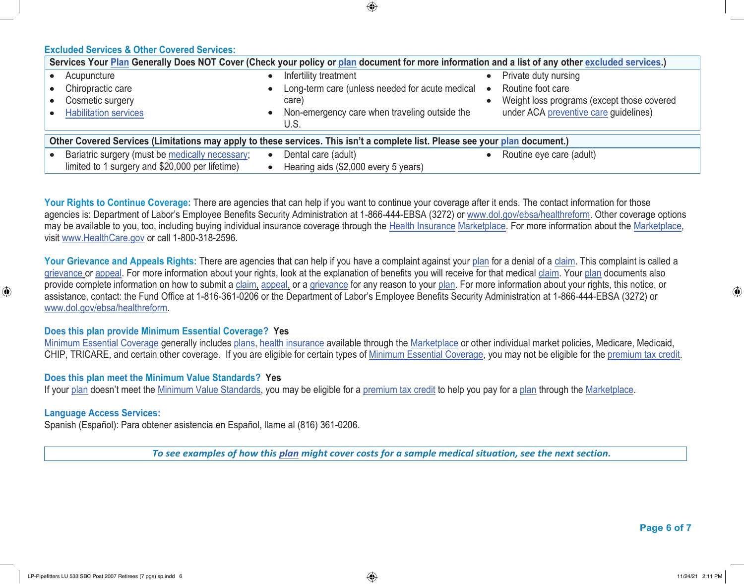⊕

# **Excluded Services & Other Covered Services:**

| Services Your Plan Generally Does NOT Cover (Check your policy or plan document for more information and a list of any other excluded services.) |                                                 |                                            |  |  |  |
|--------------------------------------------------------------------------------------------------------------------------------------------------|-------------------------------------------------|--------------------------------------------|--|--|--|
| Acupuncture                                                                                                                                      | Infertility treatment                           | Private duty nursing                       |  |  |  |
| Chiropractic care                                                                                                                                | Long-term care (unless needed for acute medical | Routine foot care<br>$\bullet$             |  |  |  |
| Cosmetic surgery                                                                                                                                 | care)                                           | Weight loss programs (except those covered |  |  |  |
| <b>Habilitation services</b>                                                                                                                     | • Non-emergency care when traveling outside the | under ACA preventive care guidelines)      |  |  |  |
|                                                                                                                                                  | U.S.                                            |                                            |  |  |  |
| Other Covered Services (Limitations may apply to these services. This isn't a complete list. Please see your plan document.)                     |                                                 |                                            |  |  |  |
| Bariatric surgery (must be medically necessary;                                                                                                  | Dental care (adult)                             | Routine eye care (adult)                   |  |  |  |
| limited to 1 surgery and \$20,000 per lifetime)                                                                                                  | Hearing aids (\$2,000 every 5 years)            |                                            |  |  |  |

Your Rights to Continue Coverage: There are agencies that can help if you want to continue your coverage after it ends. The contact information for those agencies is: Department of Labor's Employee Benefits Security Administration at 1-866-444-EBSA (3272) or www.dol.gov/ebsa/healthreform. Other coverage options may be available to you, too, including buying individual insurance coverage through the Health Insurance Marketplace. For more information about the Marketplace, visit www.HealthCare.gov or call 1-800-318-2596.

Your Grievance and Appeals Rights: There are agencies that can help if you have a complaint against your plan for a denial of a claim. This complaint is called a grievance or appeal. For more information about your rights, look at the explanation of benefits you will receive for that medical claim. Your plan documents also provide complete information on how to submit a claim, appeal, or a grievance for any reason to your plan. For more information about your rights, this notice, or assistance, contact: the Fund Office at 1-816-361-0206 or the Department of Labor's Employee Benefits Security Administration at 1-866-444-EBSA (3272) or www.dol.gov/ebsa/healthreform.

#### **Does this plan provide Minimum Essential Coverage? Yes**

Minimum Essential Coverage generally includes plans, health insurance available through the Marketplace or other individual market policies, Medicare, Medicaid, CHIP, TRICARE, and certain other coverage. If you are eligible for certain types of Minimum Essential Coverage, you may not be eligible for the premium tax credit.

#### **Does this plan meet the Minimum Value Standards? Yes**

If your plan doesn't meet the Minimum Value Standards, you may be eligible for a premium tax credit to help you pay for a plan through the Marketplace.

### **Language Access Services:**

 $\bigoplus$ 

Spanish (Español): Para obtener asistencia en Español, llame al (816) 361-0206.

*To see examples of how this plan might cover costs for a sample medical situation, see the next section.*

 **Page 6 of 7**

⊕